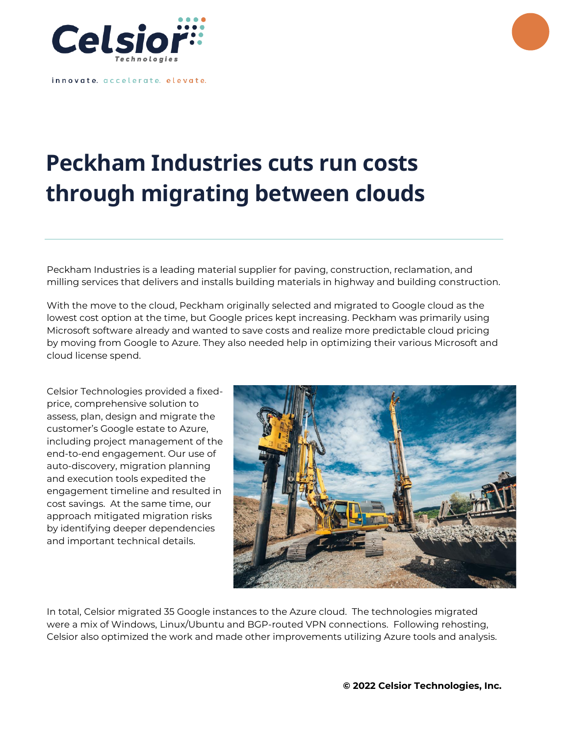

innovate. accelerate. elevate.

## **Peckham Industries cuts run costs through migrating between clouds**

Peckham Industries is a leading material supplier for paving, construction, reclamation, and milling services that delivers and installs building materials in highway and building construction.

With the move to the cloud, Peckham originally selected and migrated to Google cloud as the lowest cost option at the time, but Google prices kept increasing. Peckham was primarily using Microsoft software already and wanted to save costs and realize more predictable cloud pricing by moving from Google to Azure. They also needed help in optimizing their various Microsoft and cloud license spend.

Celsior Technologies provided a fixedprice, comprehensive solution to assess, plan, design and migrate the customer's Google estate to Azure, including project management of the end-to-end engagement. Our use of auto-discovery, migration planning and execution tools expedited the engagement timeline and resulted in cost savings. At the same time, our approach mitigated migration risks by identifying deeper dependencies and important technical details.



In total, Celsior migrated 35 Google instances to the Azure cloud. The technologies migrated were a mix of Windows, Linux/Ubuntu and BGP-routed VPN connections. Following rehosting, Celsior also optimized the work and made other improvements utilizing Azure tools and analysis.